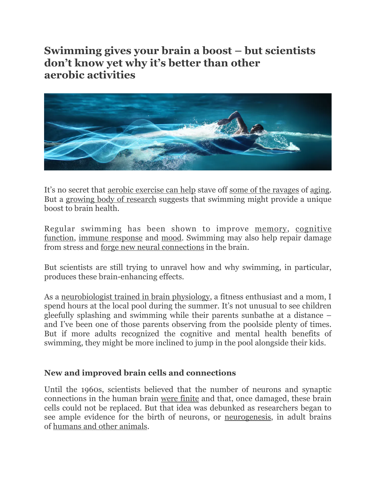**Swimming gives your brain a boost – but scientists don't know yet why it's better than other aerobic activities**



It's no secret that [aerobic exercise can help](https://doi.org/10.1016/j.neubiorev.2018.03.018) stave off [some of the ravages](https://doi.org/10.3389/fphys.2018.00667) of [aging](https://doi.org/10.1123/japa.2016-0362). But a [growing body of research](https://doi.org/10.14814/phy2.14851) suggests that swimming might provide a unique boost to brain health.

Regular swimming has been shown to improve [memory](https://doi.org/10.14814/phy2.14851), [cognitive](https://doi.org/10.14814/phy2.14247)  [function](https://doi.org/10.14814/phy2.14247), [immune response](https://doi.org/10.1016/j.bbi.2018.10.005) and [mood.](https://doi.org/10.12965/jer.2040216.108) Swimming may also help repair damage from stress and [forge new neural connections](https://doi.org/10.1002/hipo.20679) in the brain.

But scientists are still trying to unravel how and why swimming, in particular, produces these brain-enhancing effects.

As a [neurobiologist trained in brain physiology,](https://scholar.google.com/scholar?q=Seena+S.+Mathew+) a fitness enthusiast and a mom, I spend hours at the local pool during the summer. It's not unusual to see children gleefully splashing and swimming while their parents sunbathe at a distance – and I've been one of those parents observing from the poolside plenty of times. But if more adults recognized the cognitive and mental health benefits of swimming, they might be more inclined to jump in the pool alongside their kids.

## **New and improved brain cells and connections**

Until the 1960s, scientists believed that the number of neurons and synaptic connections in the human brain [were finite](https://www.ninds.nih.gov/Disorders/Patient-Caregiver-Education/Life-and-Death-Neuron) and that, once damaged, these brain cells could not be replaced. But that idea was debunked as researchers began to see ample evidence for the birth of neurons, or [neurogenesis,](https://doi.org/10.1126/science.135.3509.1127) in adult brains of [humans and other animals.](https://doi.org/10.3389/fnins.2016.00319)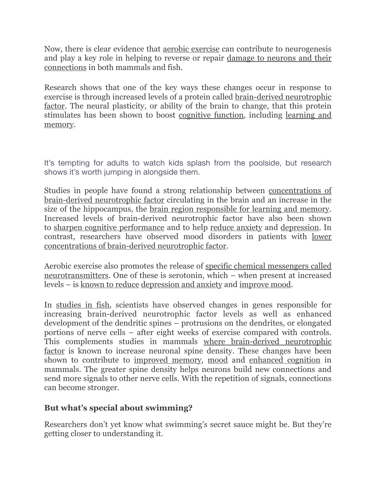Now, there is clear evidence that [aerobic exercise](https://doi.org/10.1113/JP272761) can contribute to neurogenesis and play a key role in helping to reverse or repair [damage to neurons and their](https://doi.org/10.1098/rsos.191640)  [connections](https://doi.org/10.1098/rsos.191640) in both mammals and fish.

Research shows that one of the key ways these changes occur in response to exercise is through increased levels of a protein called [brain-derived neurotrophic](https://doi.org/10.3389/fncel.2019.00363) [factor.](https://doi.org/10.3389/fncel.2019.00363) The neural plasticity, or ability of the brain to change, that this protein stimulates has been shown to boost [cognitive function,](https://doi.org/10.1016/j.neubiorev.2018.03.018) including [learning and](https://doi.org/10.12965/jer.2040216.108)  [memory.](https://doi.org/10.12965/jer.2040216.108)

It's tempting for adults to watch kids splash from the poolside, but research shows it's worth jumping in alongside them.

Studies in people have found a strong relationship between [concentrations of](https://doi.org/10.3389/fncel.2019.00363) [brain-derived neurotrophic factor](https://doi.org/10.3389/fncel.2019.00363) circulating in the brain and an increase in the size of the hippocampus, the [brain region responsible for learning and memory](https://www.nature.com/articles/nrn2335). Increased levels of brain-derived neurotrophic factor have also been shown to [sharpen cognitive performance](https://doi.org/10.1016/j.jshs.2014.11.001) and to help [reduce anxiety](https://doi.org/10.5772/intechopen.92341) and [depression.](https://doi.org/10.1038/aps.2010.184) In contrast, researchers have observed mood disorders in patients with [lower](https://doi.org/10.1073/pnas.1803645115)  [concentrations of brain-derived neurotrophic factor.](https://doi.org/10.1073/pnas.1803645115)

Aerobic exercise also promotes the release of [specific chemical messengers called](https://doi.org/10.26402/jpp.2018.1.01)  [neurotransmitters.](https://doi.org/10.26402/jpp.2018.1.01) One of these is serotonin, which – when present at increased levels – is [known to reduce](https://doi.org/10.1002/wps.20229) [depression and anxiety](https://doi.org/10.12965/jer.2040216.108) and [improve mood.](https://doi.org/10.12965/jer.2040216.108)

In [studies in fish](https://doi.org/10.1098/rsos.191640), scientists have observed changes in genes responsible for increasing brain-derived neurotrophic factor levels as well as enhanced development of the dendritic spines – protrusions on the dendrites, or elongated portions of nerve cells – after eight weeks of exercise compared with controls. This complements studies in mammals [where brain-derived neurotrophic](https://doi.org/10.3389/fncel.2019.00363) [factor](https://doi.org/10.3389/fncel.2019.00363) is known to increase neuronal spine density. These changes have been shown to contribute to [improved memory](https://doi.org/10.14814/phy2.14851), [mood](https://doi.org/10.3389/fnbeh.2019.00093) and [enhanced cognition](https://doi.org/10.1371/journal.pone.0139739) in mammals. The greater spine density helps neurons build new connections and send more signals to other nerve cells. With the repetition of signals, connections can become stronger.

## **But what's special about swimming?**

Researchers don't yet know what swimming's secret sauce might be. But they're getting closer to understanding it.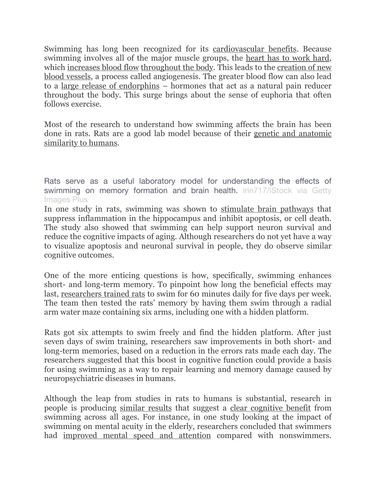Swimming has long been recognized for its [cardiovascular benefits.](https://doi.org/10.1016/j.ijcard.2013.03.063) Because swimming involves all of the major muscle groups, the [heart has to work hard](https://pubmed.ncbi.nlm.nih.gov/1642724/), which [increases blood flow](https://doi.org/10.1007/BF01905549) [throughout the body](https://doi.org/10.1055/s-2006-923776). This leads to the [creation of new](https://doi.org/10.1016/j.neubiorev.2018.03.018) [blood vessels,](https://doi.org/10.1016/j.neubiorev.2018.03.018) a process called angiogenesis. The greater blood flow can also lead to a [large release of endorphins](https://doi.org/10.1016/j.jpain.2010.03.015) – hormones that act as a natural pain reducer throughout the body. This surge brings about the sense of euphoria that often follows exercise.

Most of the research to understand how swimming affects the brain has been done in rats. Rats are a good lab model because of their [genetic and anatomic](https://www.ncbi.nlm.nih.gov/pmc/articles/PMC3987984/)  [similarity to humans](https://www.ncbi.nlm.nih.gov/pmc/articles/PMC3987984/).

Rats serve as a useful laboratory model for understanding the effects of swimming on memory formation and brain health. [irin717/iStock via Getty](https://www.gettyimages.com/detail/photo/laboratory-white-rat-in-the-water-radial-maze-royalty-free-image/502297101?adppopup=true) [Images Plus](https://www.gettyimages.com/detail/photo/laboratory-white-rat-in-the-water-radial-maze-royalty-free-image/502297101?adppopup=true)

In one study in rats, swimming was shown to [stimulate brain pathways](https://doi.org/10.18632/aging.103046) that suppress inflammation in the hippocampus and inhibit apoptosis, or cell death. The study also showed that swimming can help support neuron survival and reduce the cognitive impacts of aging. Although researchers do not yet have a way to visualize apoptosis and neuronal survival in people, they do observe similar cognitive outcomes.

One of the more enticing questions is how, specifically, swimming enhances short- and long-term memory. To pinpoint how long the beneficial effects may last, [researchers trained rats](https://doi.org/10.14814/phy2.14851) to swim for 60 minutes daily for five days per week. The team then tested the rats' memory by having them swim through a radial arm water maze containing six arms, including one with a hidden platform.

Rats got six attempts to swim freely and find the hidden platform. After just seven days of swim training, researchers saw improvements in both short- and long-term memories, based on a reduction in the errors rats made each day. The researchers suggested that this boost in cognitive function could provide a basis for using swimming as a way to repair learning and memory damage caused by neuropsychiatric diseases in humans.

Although the leap from studies in rats to humans is substantial, research in people is producing [similar results](https://doi.org/10.1155/2012/273185) that suggest a [clear cognitive benefit](https://doi.org/10.14814/phy2.14247) from swimming across all ages. For instance, in one study looking at the impact of swimming on mental acuity in the elderly, researchers concluded that swimmers had [improved mental speed and attention](https://doi.org/10.5530/ijcep.2018.5.4.22) compared with nonswimmers.